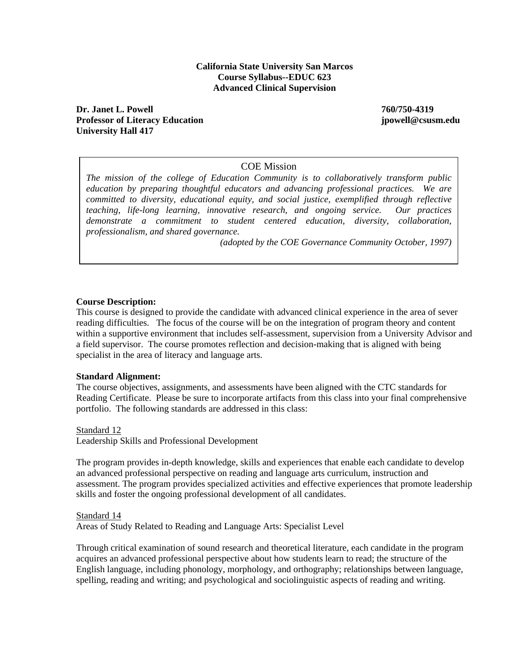#### **California State University San Marcos Course Syllabus--EDUC 623 Advanced Clinical Supervision**

**Dr. Janet L. Powell 760/750-4319 Professor of Literacy Education jpowell@csusm.edu University Hall 417** 

#### COE Mission

*The mission of the college of Education Community is to collaboratively transform public education by preparing thoughtful educators and advancing professional practices. We are committed to diversity, educational equity, and social justice, exemplified through reflective teaching, life-long learning, innovative research, and ongoing service. Our practices demonstrate a commitment to student centered education, diversity, collaboration, professionalism, and shared governance.* 

*(adopted by the COE Governance Community October, 1997)* 

#### **Course Description:**

This course is designed to provide the candidate with advanced clinical experience in the area of sever reading difficulties. The focus of the course will be on the integration of program theory and content within a supportive environment that includes self-assessment, supervision from a University Advisor and a field supervisor. The course promotes reflection and decision-making that is aligned with being specialist in the area of literacy and language arts.

#### **Standard Alignment:**

The course objectives, assignments, and assessments have been aligned with the CTC standards for Reading Certificate. Please be sure to incorporate artifacts from this class into your final comprehensive portfolio. The following standards are addressed in this class:

Standard 12

Leadership Skills and Professional Development

The program provides in-depth knowledge, skills and experiences that enable each candidate to develop an advanced professional perspective on reading and language arts curriculum, instruction and assessment. The program provides specialized activities and effective experiences that promote leadership skills and foster the ongoing professional development of all candidates.

Standard 14

Areas of Study Related to Reading and Language Arts: Specialist Level

Through critical examination of sound research and theoretical literature, each candidate in the program acquires an advanced professional perspective about how students learn to read; the structure of the English language, including phonology, morphology, and orthography; relationships between language, spelling, reading and writing; and psychological and sociolinguistic aspects of reading and writing.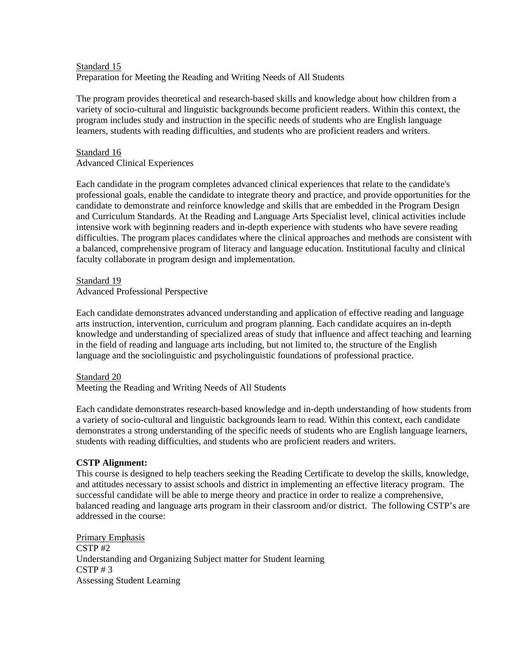# Standard 15 Preparation for Meeting the Reading and Writing Needs of All Students

The program provides theoretical and research-based skills and knowledge about how children from a variety of socio-cultural and linguistic backgrounds become proficient readers. Within this context, the program includes study and instruction in the specific needs of students who are English language learners, students with reading difficulties, and students who are proficient readers and writers.

# Standard 16 Advanced Clinical Experiences

Each candidate in the program completes advanced clinical experiences that relate to the candidate's professional goals, enable the candidate to integrate theory and practice, and provide opportunities for the candidate to demonstrate and reinforce knowledge and skills that are embedded in the Program Design and Curriculum Standards. At the Reading and Language Arts Specialist level, clinical activities include intensive work with beginning readers and in-depth experience with students who have severe reading difficulties. The program places candidates where the clinical approaches and methods are consistent with a balanced, comprehensive program of literacy and language education. Institutional faculty and clinical faculty collaborate in program design and implementation.

#### Standard 19 Advanced Professional Perspective

Each candidate demonstrates advanced understanding and application of effective reading and language arts instruction, intervention, curriculum and program planning. Each candidate acquires an in-depth knowledge and understanding of specialized areas of study that influence and affect teaching and learning in the field of reading and language arts including, but not limited to, the structure of the English language and the sociolinguistic and psycholinguistic foundations of professional practice.

# Standard 20

Meeting the Reading and Writing Needs of All Students

Each candidate demonstrates research-based knowledge and in-depth understanding of how students from a variety of socio-cultural and linguistic backgrounds learn to read. Within this context, each candidate demonstrates a strong understanding of the specific needs of students who are English language learners, students with reading difficulties, and students who are proficient readers and writers.

### **CSTP Alignment:**

This course is designed to help teachers seeking the Reading Certificate to develop the skills, knowledge, and attitudes necessary to assist schools and district in implementing an effective literacy program. The successful candidate will be able to merge theory and practice in order to realize a comprehensive, balanced reading and language arts program in their classroom and/or district. The following CSTP's are addressed in the course:

Primary Emphasis CSTP #2 Understanding and Organizing Subject matter for Student learning  $CSTP \# 3$ Assessing Student Learning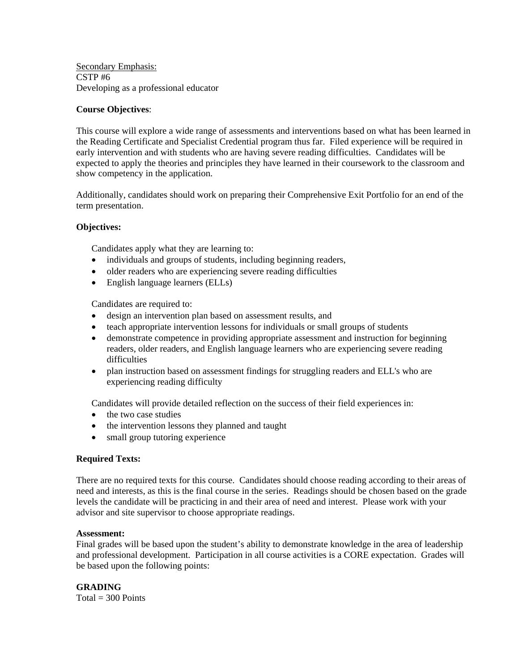Secondary Emphasis: CSTP #6 Developing as a professional educator

# **Course Objectives**:

This course will explore a wide range of assessments and interventions based on what has been learned in the Reading Certificate and Specialist Credential program thus far. Filed experience will be required in early intervention and with students who are having severe reading difficulties. Candidates will be expected to apply the theories and principles they have learned in their coursework to the classroom and show competency in the application.

Additionally, candidates should work on preparing their Comprehensive Exit Portfolio for an end of the term presentation.

### **Objectives:**

Candidates apply what they are learning to:

- individuals and groups of students, including beginning readers,
- older readers who are experiencing severe reading difficulties
- English language learners (ELLs)

Candidates are required to:

- design an intervention plan based on assessment results, and
- teach appropriate intervention lessons for individuals or small groups of students
- demonstrate competence in providing appropriate assessment and instruction for beginning readers, older readers, and English language learners who are experiencing severe reading difficulties
- plan instruction based on assessment findings for struggling readers and ELL's who are experiencing reading difficulty

Candidates will provide detailed reflection on the success of their field experiences in:

- the two case studies
- the intervention lessons they planned and taught
- small group tutoring experience

#### **Required Texts:**

There are no required texts for this course. Candidates should choose reading according to their areas of need and interests, as this is the final course in the series. Readings should be chosen based on the grade levels the candidate will be practicing in and their area of need and interest. Please work with your advisor and site supervisor to choose appropriate readings.

#### **Assessment:**

Final grades will be based upon the student's ability to demonstrate knowledge in the area of leadership and professional development. Participation in all course activities is a CORE expectation. Grades will be based upon the following points:

**GRADING**  $Total = 300$  Points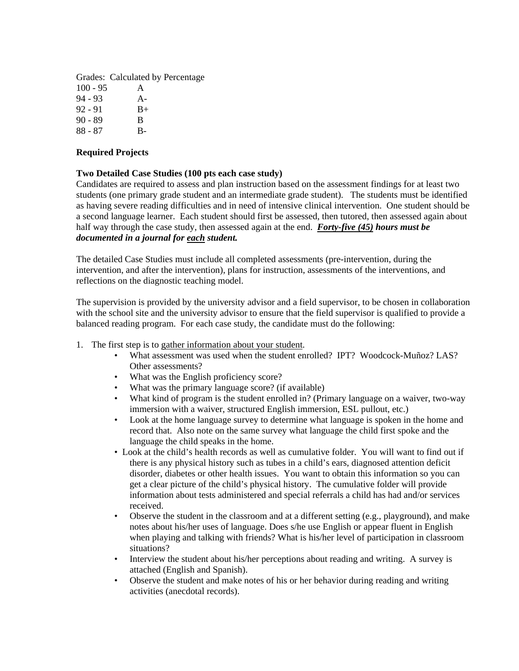Grades: Calculated by Percentage  $100 - 95$  A 94 - 93 A- $92 - 91$  B+ 90 - 89 B 88 - 87 B-

# **Required Projects**

### **Two Detailed Case Studies (100 pts each case study)**

Candidates are required to assess and plan instruction based on the assessment findings for at least two students (one primary grade student and an intermediate grade student). The students must be identified as having severe reading difficulties and in need of intensive clinical intervention. One student should be a second language learner. Each student should first be assessed, then tutored, then assessed again about half way through the case study, then assessed again at the end. *Forty-five (45) hours must be documented in a journal for each student.* 

The detailed Case Studies must include all completed assessments (pre-intervention, during the intervention, and after the intervention), plans for instruction, assessments of the interventions, and reflections on the diagnostic teaching model.

The supervision is provided by the university advisor and a field supervisor, to be chosen in collaboration with the school site and the university advisor to ensure that the field supervisor is qualified to provide a balanced reading program. For each case study, the candidate must do the following:

- 1. The first step is to gather information about your student.
	- What assessment was used when the student enrolled? IPT? Woodcock-Muñoz? LAS? Other assessments?
	- What was the English proficiency score?
	- What was the primary language score? (if available)
	- What kind of program is the student enrolled in? (Primary language on a waiver, two-way immersion with a waiver, structured English immersion, ESL pullout, etc.)
	- Look at the home language survey to determine what language is spoken in the home and record that. Also note on the same survey what language the child first spoke and the language the child speaks in the home.
	- Look at the child's health records as well as cumulative folder. You will want to find out if there is any physical history such as tubes in a child's ears, diagnosed attention deficit disorder, diabetes or other health issues. You want to obtain this information so you can get a clear picture of the child's physical history. The cumulative folder will provide information about tests administered and special referrals a child has had and/or services received.
	- Observe the student in the classroom and at a different setting (e.g., playground), and make notes about his/her uses of language. Does s/he use English or appear fluent in English when playing and talking with friends? What is his/her level of participation in classroom situations?
	- Interview the student about his/her perceptions about reading and writing. A survey is attached (English and Spanish).
	- Observe the student and make notes of his or her behavior during reading and writing activities (anecdotal records).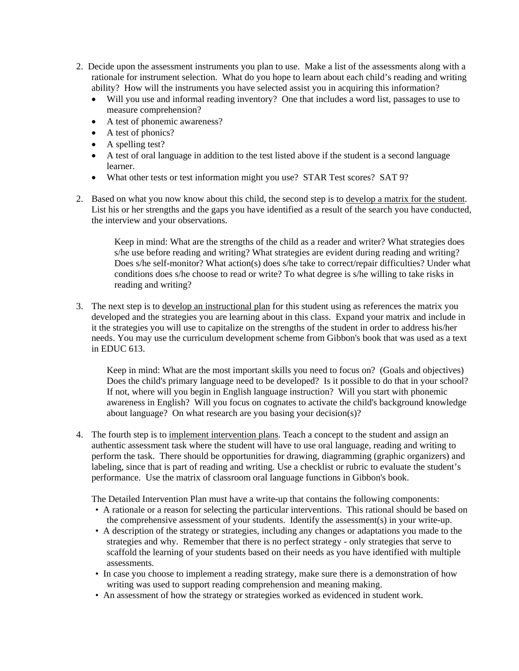- 2. Decide upon the assessment instruments you plan to use. Make a list of the assessments along with a rationale for instrument selection. What do you hope to learn about each child's reading and writing ability? How will the instruments you have selected assist you in acquiring this information?
	- Will you use and informal reading inventory? One that includes a word list, passages to use to measure comprehension?
	- A test of phonemic awareness?
	- A test of phonics?
	- A spelling test?
	- A test of oral language in addition to the test listed above if the student is a second language learner.
	- What other tests or test information might you use? STAR Test scores? SAT 9?
- 2. Based on what you now know about this child, the second step is to develop a matrix for the student. List his or her strengths and the gaps you have identified as a result of the search you have conducted, the interview and your observations.

 Keep in mind: What are the strengths of the child as a reader and writer? What strategies does s/he use before reading and writing? What strategies are evident during reading and writing? Does s/he self-monitor? What action(s) does s/he take to correct/repair difficulties? Under what conditions does s/he choose to read or write? To what degree is s/he willing to take risks in reading and writing?

3. The next step is to develop an instructional plan for this student using as references the matrix you developed and the strategies you are learning about in this class. Expand your matrix and include in it the strategies you will use to capitalize on the strengths of the student in order to address his/her needs. You may use the curriculum development scheme from Gibbon's book that was used as a text in EDUC 613.

 Keep in mind: What are the most important skills you need to focus on? (Goals and objectives) Does the child's primary language need to be developed? Is it possible to do that in your school? If not, where will you begin in English language instruction? Will you start with phonemic awareness in English? Will you focus on cognates to activate the child's background knowledge about language? On what research are you basing your decision(s)?

4. The fourth step is to implement intervention plans. Teach a concept to the student and assign an authentic assessment task where the student will have to use oral language, reading and writing to perform the task. There should be opportunities for drawing, diagramming (graphic organizers) and labeling, since that is part of reading and writing. Use a checklist or rubric to evaluate the student's performance. Use the matrix of classroom oral language functions in Gibbon's book.

The Detailed Intervention Plan must have a write-up that contains the following components:

- A rationale or a reason for selecting the particular interventions. This rational should be based on the comprehensive assessment of your students. Identify the assessment(s) in your write-up.
- A description of the strategy or strategies, including any changes or adaptations you made to the strategies and why. Remember that there is no perfect strategy - only strategies that serve to scaffold the learning of your students based on their needs as you have identified with multiple assessments.
- In case you choose to implement a reading strategy, make sure there is a demonstration of how writing was used to support reading comprehension and meaning making.
- An assessment of how the strategy or strategies worked as evidenced in student work.